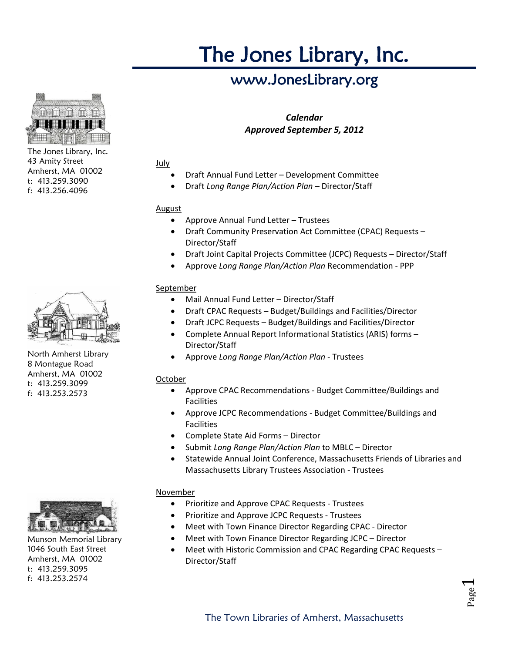# The Jones Library, Inc.

# www.JonesLibrary.org

# *Calendar Approved September 5, 2012*

## July

- Draft Annual Fund Letter Development Committee
- Draft *Long Range Plan/Action Plan* Director/Staff

# August

- Approve Annual Fund Letter Trustees
- Draft Community Preservation Act Committee (CPAC) Requests Director/Staff
- Draft Joint Capital Projects Committee (JCPC) Requests Director/Staff
- Approve *Long Range Plan/Action Plan* Recommendation PPP

# September

- Mail Annual Fund Letter Director/Staff
- Draft CPAC Requests Budget/Buildings and Facilities/Director
- Draft JCPC Requests Budget/Buildings and Facilities/Director
- Complete Annual Report Informational Statistics (ARIS) forms Director/Staff
- Approve *Long Range Plan/Action Plan* Trustees

# October

- Approve CPAC Recommendations Budget Committee/Buildings and Facilities
- Approve JCPC Recommendations Budget Committee/Buildings and Facilities
- Complete State Aid Forms Director
- Submit *Long Range Plan/Action Plan* to MBLC Director
- Statewide Annual Joint Conference, Massachusetts Friends of Libraries and Massachusetts Library Trustees Association - Trustees

## November

- Prioritize and Approve CPAC Requests Trustees
- Prioritize and Approve JCPC Requests Trustees
- Meet with Town Finance Director Regarding CPAC Director
- Meet with Town Finance Director Regarding JCPC Director
- Meet with Historic Commission and CPAC Regarding CPAC Requests Director/Staff



The Jones Library, Inc. 43 Amity Street Amherst, MA 01002 t: 413.259.3090 f: 413.256.4096



North Amherst Library 8 Montague Road Amherst, MA 01002 t: 413.259.3099 f: 413.253.2573



Munson Memorial Library 1046 South East Street Amherst, MA 01002 t: 413.259.3095 f: 413.253.2574

Page  $\overline{\phantom{0}}$